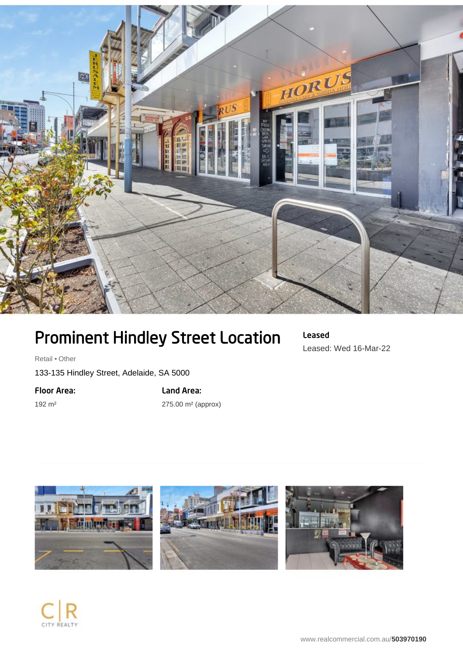

## Prominent Hindley Street Location

Retail • Other

133-135 Hindley Street, Adelaide, SA 5000

Floor Area:

192 m²

Land Area: 275.00 m² (approx) Leased Leased: Wed 16-Mar-22